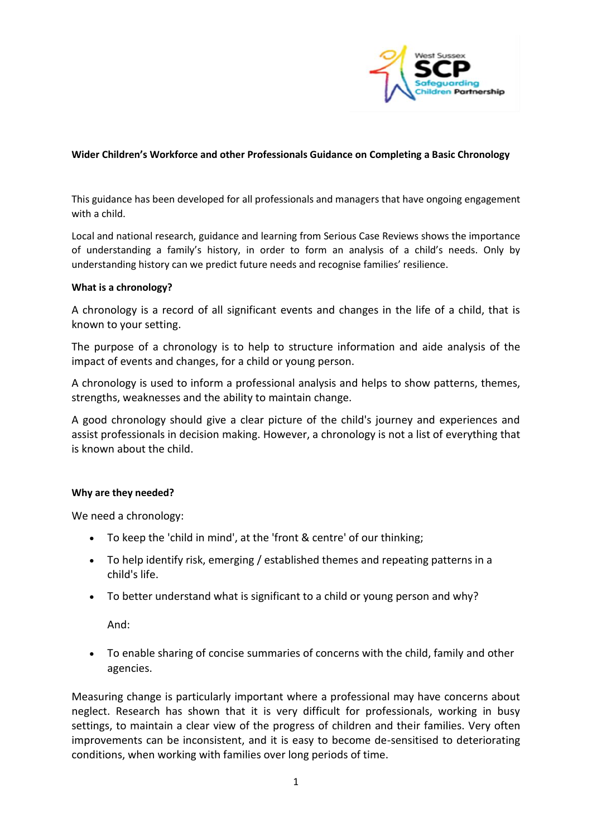

## **Wider Children's Workforce and other Professionals Guidance on Completing a Basic Chronology**

This guidance has been developed for all professionals and managers that have ongoing engagement with a child.

Local and national research, guidance and learning from Serious Case Reviews shows the importance of understanding a family's history, in order to form an analysis of a child's needs. Only by understanding history can we predict future needs and recognise families' resilience.

#### **What is a chronology?**

A chronology is a record of all significant events and changes in the life of a child, that is known to your setting.

The purpose of a chronology is to help to structure information and aide analysis of the impact of events and changes, for a child or young person.

A chronology is used to inform a professional analysis and helps to show patterns, themes, strengths, weaknesses and the ability to maintain change.

A good chronology should give a clear picture of the child's journey and experiences and assist professionals in decision making. However, a chronology is not a list of everything that is known about the child.

#### **Why are they needed?**

We need a chronology:

- To keep the 'child in mind', at the 'front & centre' of our thinking;
- To help identify risk, emerging / established themes and repeating patterns in a child's life.
- To better understand what is significant to a child or young person and why?

And:

• To enable sharing of concise summaries of concerns with the child, family and other agencies.

Measuring change is particularly important where a professional may have concerns about neglect. Research has shown that it is very difficult for professionals, working in busy settings, to maintain a clear view of the progress of children and their families. Very often improvements can be inconsistent, and it is easy to become de-sensitised to deteriorating conditions, when working with families over long periods of time.